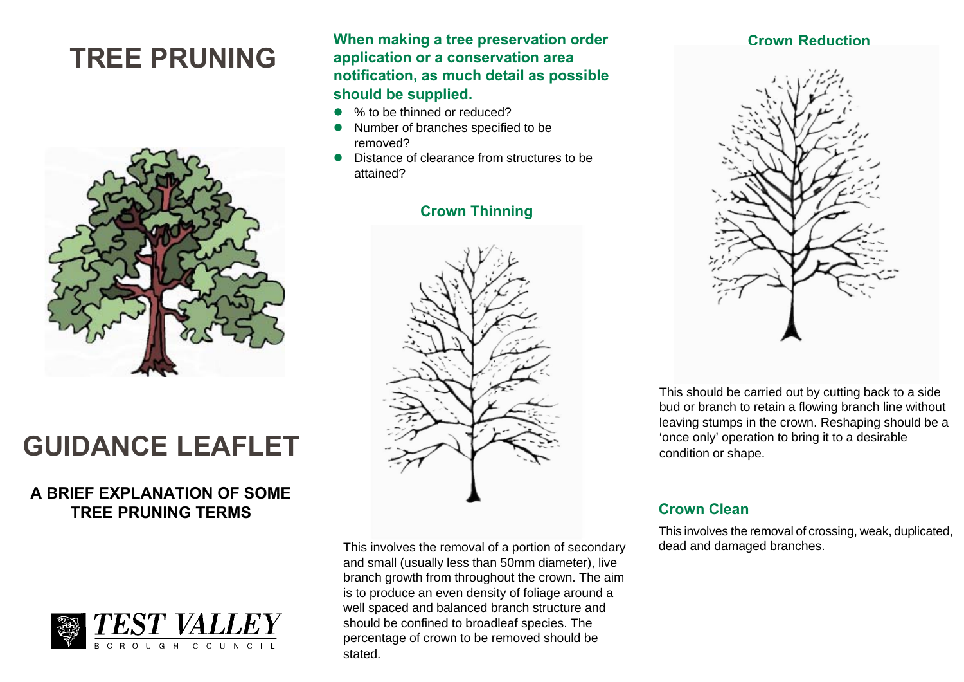# **TREE PRUNING**



# **GUIDANCE LEAFLET**

# **A BRIEF EXPLANATION OF SOME TREE PRUNING TERMS**



**When making a tree preservation order application or a conservation area notification, as much detail as possible should be supplied.**

- o % to be thinned or reduced?
- o Number of branches specified to be removed?
- $\bullet$  Distance of clearance from structures to be attained?

# **Crown Thinning**



This involves the removal of a portion of secondary and small (usually less than 50mm diameter), live branch growth from throughout the crown. The aim is to produce an even density of foliage around a well spaced and balanced branch structure and should be confined to broadleaf species. The percentage of crown to be removed should be stated.

### **Crown Reduction**



This should be carried out by cutting back to a side bud or branch to retain a flowing branch line without leaving stumps in the crown. Reshaping should be a 'once only' operation to bring it to a desirable condition or shape.

## **Crown Clean**

This involves the removal of crossing, weak, duplicated, dead and damaged branches.